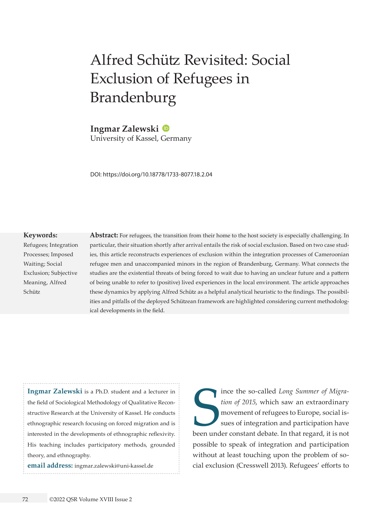# Alfred Schütz Revisited: Social Exclusion of Refugees in Brandenburg

**Ingmar Zalewski** University of Kassel, Germany

DOI: <https://doi.org/10.18778/1733-8077.18.2.04>

#### **Keywords:**

Refugees; Integration Processes; Imposed Waiting; Social Exclusion; Subjective Meaning, Alfred Schütz

**Abstract:** For refugees, the transition from their home to the host society is especially challenging. In particular, their situation shortly after arrival entails the risk of social exclusion. Based on two case studies, this article reconstructs experiences of exclusion within the integration processes of Cameroonian refugee men and unaccompanied minors in the region of Brandenburg, Germany. What connects the studies are the existential threats of being forced to wait due to having an unclear future and a pattern of being unable to refer to (positive) lived experiences in the local environment. The article approaches these dynamics by applying Alfred Schütz as a helpful analytical heuristic to the findings. The possibilities and pitfalls of the deployed Schützean framework are highlighted considering current methodological developments in the field.

**Ingmar Zalewski** is a Ph.D. student and a lecturer in the field of Sociological Methodology of Qualitative Reconstructive Research at the University of Kassel. He conducts ethnographic research focusing on forced migration and is interested in the developments of ethnographic reflexivity. His teaching includes participatory methods, grounded theory, and ethnography.

**email address:** [ingmar.zalewski@uni-kassel.de](mailto:ingmar.zalewski@uni-kassel.de)

Since the so-called *Long Summer of Migration of 2015*, which saw an extraordinary movement of refugees to Europe, social issues of integration and participation have been under constant debate. In that regard, it is not ince the so-called *Long Summer of Migration of 2015*, which saw an extraordinary movement of refugees to Europe, social issues of integration and participation have possible to speak of integration and participation without at least touching upon the problem of social exclusion (Cresswell 2013). Refugees' efforts to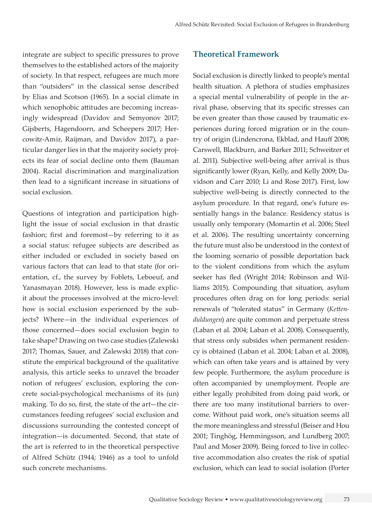integrate are subject to specific pressures to prove themselves to the established actors of the majority of society. In that respect, refugees are much more than "outsiders" in the classical sense described by Elias and Scotson (1965). In a social climate in which xenophobic attitudes are becoming increasingly widespread (Davidov and Semyonov 2017; Gijsberts, Hagendoorn, and Scheepers 2017; Hercowitz-Amir, Raijman, and Davidov 2017), a particular danger lies in that the majority society projects its fear of social decline onto them (Bauman 2004). Racial discrimination and marginalization then lead to a significant increase in situations of social exclusion.

Questions of integration and participation highlight the issue of social exclusion in that drastic fashion; first and foremost—by referring to it as a social status: refugee subjects are described as either included or excluded in society based on various factors that can lead to that state (for orientation, cf., the survey by Foblets, Leboeuf, and Yanasmayan 2018). However, less is made explicit about the processes involved at the micro-level: how is social exclusion experienced by the subjects? Where—in the individual experiences of those concerned—does social exclusion begin to take shape? Drawing on two case studies (Zalewski 2017; Thomas, Sauer, and Zalewski 2018) that constitute the empirical background of the qualitative analysis, this article seeks to unravel the broader notion of refugees' exclusion, exploring the concrete social-psychological mechanisms of its (un) making. To do so, first, the state of the art—the circumstances feeding refugees' social exclusion and discussions surrounding the contested concept of integration—is documented. Second, that state of the art is referred to in the theoretical perspective of Alfred Schütz (1944; 1946) as a tool to unfold such concrete mechanisms.

## **Theoretical Framework**

Social exclusion is directly linked to people's mental health situation. A plethora of studies emphasizes a special mental vulnerability of people in the arrival phase, observing that its specific stresses can be even greater than those caused by traumatic experiences during forced migration or in the country of origin (Lindencrona, Ekblad, and Hauff 2008; Carswell, Blackburn, and Barker 2011; Schweitzer et al. 2011). Subjective well-being after arrival is thus significantly lower (Ryan, Kelly, and Kelly 2009; Davidson and Carr 2010; Li and Rose 2017). First, low subjective well-being is directly connected to the asylum procedure. In that regard, one's future essentially hangs in the balance. Residency status is usually only temporary (Momartin et al. 2006; Steel et al. 2006). The resulting uncertainty concerning the future must also be understood in the context of the looming scenario of possible deportation back to the violent conditions from which the asylum seeker has fled (Wright 2014; Robinson and Williams 2015). Compounding that situation, asylum procedures often drag on for long periods: serial renewals of "tolerated status" in Germany (*Kettenduldungen*) are quite common and perpetuate stress (Laban et al. 2004; Laban et al. 2008). Consequently, that stress only subsides when permanent residency is obtained (Laban et al. 2004; Laban et al. 2008), which can often take years and is attained by very few people. Furthermore, the asylum procedure is often accompanied by unemployment. People are either legally prohibited from doing paid work, or there are too many institutional barriers to overcome. Without paid work, one's situation seems all the more meaningless and stressful (Beiser and Hou 2001; Tinghög, Hemmingsson, and Lundberg 2007; Paul and Moser 2009). Being forced to live in collective accommodation also creates the risk of spatial exclusion, which can lead to social isolation (Porter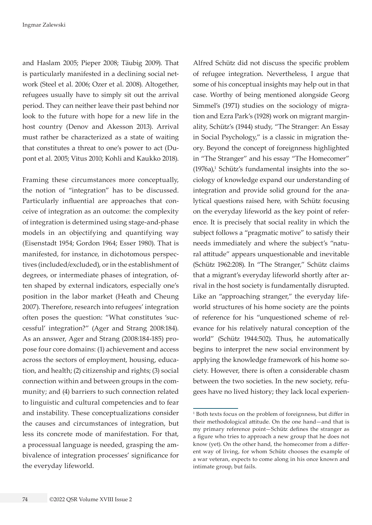and Haslam 2005; Pieper 2008; Täubig 2009). That is particularly manifested in a declining social network (Steel et al. 2006; Ozer et al. 2008). Altogether, refugees usually have to simply sit out the arrival period. They can neither leave their past behind nor look to the future with hope for a new life in the host country (Denov and Akesson 2013). Arrival must rather be characterized as a state of waiting that constitutes a threat to one's power to act (Dupont et al. 2005; Vitus 2010; Kohli and Kaukko 2018).

Framing these circumstances more conceptually, the notion of "integration" has to be discussed. Particularly influential are approaches that conceive of integration as an outcome: the complexity of integration is determined using stage-and-phase models in an objectifying and quantifying way (Eisenstadt 1954; Gordon 1964; Esser 1980). That is manifested, for instance, in dichotomous perspectives (included/excluded), or in the establishment of degrees, or intermediate phases of integration, often shaped by external indicators, especially one's position in the labor market (Heath and Cheung 2007). Therefore, research into refugees' integration often poses the question: "What constitutes 'successful' integration?" (Ager and Strang 2008:184). As an answer, Ager and Strang (2008:184-185) propose four core domains: (1) achievement and access across the sectors of employment, housing, education, and health; (2) citizenship and rights; (3) social connection within and between groups in the community; and (4) barriers to such connection related to linguistic and cultural competencies and to fear and instability. These conceptualizations consider the causes and circumstances of integration, but less its concrete mode of manifestation. For that, a processual language is needed, grasping the ambivalence of integration processes' significance for the everyday lifeworld.

Alfred Schütz did not discuss the specific problem of refugee integration. Nevertheless, I argue that some of his conceptual insights may help out in that case. Worthy of being mentioned alongside Georg Simmel's (1971) studies on the sociology of migration and Ezra Park's (1928) work on migrant marginality, Schütz's (1944) study, "The Stranger: An Essay in Social Psychology," is a classic in migration theory. Beyond the concept of foreignness highlighted in "The Stranger" and his essay "The Homecomer"  $(1976a)$ ,<sup>1</sup> Schütz's fundamental insights into the sociology of knowledge expand our understanding of integration and provide solid ground for the analytical questions raised here, with Schütz focusing on the everyday lifeworld as the key point of reference. It is precisely that social reality in which the subject follows a "pragmatic motive" to satisfy their needs immediately and where the subject's "natural attitude" appears unquestionable and inevitable (Schütz 1962:208). In "The Stranger," Schütz claims that a migrant's everyday lifeworld shortly after arrival in the host society is fundamentally disrupted. Like an "approaching stranger," the everyday lifeworld structures of his home society are the points of reference for his "unquestioned scheme of relevance for his relatively natural conception of the world" (Schütz 1944:502). Thus, he automatically begins to interpret the new social environment by applying the knowledge framework of his home society. However, there is often a considerable chasm between the two societies. In the new society, refugees have no lived history; they lack local experien-

<sup>1</sup> Both texts focus on the problem of foreignness, but differ in their methodological attitude. On the one hand—and that is my primary reference point—Schütz defines the stranger as a figure who tries to approach a new group that he does not know (yet). On the other hand, the homecomer from a different way of living, for whom Schütz chooses the example of a war veteran, expects to come along in his once known and intimate group, but fails.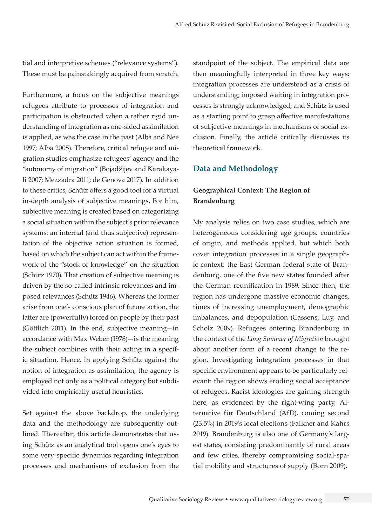tial and interpretive schemes ("relevance systems"). These must be painstakingly acquired from scratch.

Furthermore, a focus on the subjective meanings refugees attribute to processes of integration and participation is obstructed when a rather rigid understanding of integration as one-sided assimilation is applied, as was the case in the past (Alba and Nee 1997; Alba 2005). Therefore, critical refugee and migration studies emphasize refugees' agency and the "autonomy of migration" (Bojadžijev and Karakayali 2007; Mezzadra 2011; de Genova 2017). In addition to these critics, Schütz offers a good tool for a virtual in-depth analysis of subjective meanings. For him, subjective meaning is created based on categorizing a social situation within the subject's prior relevance systems: an internal (and thus subjective) representation of the objective action situation is formed, based on which the subject can act within the framework of the "stock of knowledge" on the situation (Schütz 1970). That creation of subjective meaning is driven by the so-called intrinsic relevances and imposed relevances (Schütz 1946). Whereas the former arise from one's conscious plan of future action, the latter are (powerfully) forced on people by their past (Göttlich 2011). In the end, subjective meaning—in accordance with Max Weber (1978)—is the meaning the subject combines with their acting in a specific situation. Hence, in applying Schütz against the notion of integration as assimilation, the agency is employed not only as a political category but subdivided into empirically useful heuristics.

Set against the above backdrop, the underlying data and the methodology are subsequently outlined. Thereafter, this article demonstrates that using Schütz as an analytical tool opens one's eyes to some very specific dynamics regarding integration processes and mechanisms of exclusion from the standpoint of the subject. The empirical data are then meaningfully interpreted in three key ways: integration processes are understood as a crisis of understanding; imposed waiting in integration processes is strongly acknowledged; and Schütz is used as a starting point to grasp affective manifestations of subjective meanings in mechanisms of social exclusion. Finally, the article critically discusses its theoretical framework.

## **Data and Methodology**

## **Geographical Context: The Region of Brandenburg**

My analysis relies on two case studies, which are heterogeneous considering age groups, countries of origin, and methods applied, but which both cover integration processes in a single geographic context: the East German federal state of Brandenburg, one of the five new states founded after the German reunification in 1989. Since then, the region has undergone massive economic changes, times of increasing unemployment, demographic imbalances, and depopulation (Cassens, Luy, and Scholz 2009). Refugees entering Brandenburg in the context of the *Long Summer of Migration* brought about another form of a recent change to the region. Investigating integration processes in that specific environment appears to be particularly relevant: the region shows eroding social acceptance of refugees. Racist ideologies are gaining strength here, as evidenced by the right-wing party, Alternative für Deutschland (AfD), coming second (23.5%) in 2019's local elections (Falkner and Kahrs 2019). Brandenburg is also one of Germany's largest states, consisting predominantly of rural areas and few cities, thereby compromising social-spatial mobility and structures of supply (Born 2009).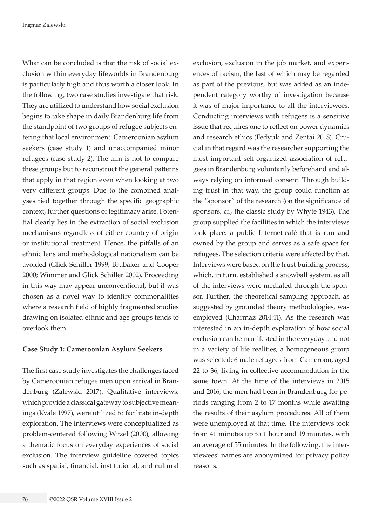What can be concluded is that the risk of social exclusion within everyday lifeworlds in Brandenburg is particularly high and thus worth a closer look. In the following, two case studies investigate that risk. They are utilized to understand how social exclusion begins to take shape in daily Brandenburg life from the standpoint of two groups of refugee subjects entering that local environment: Cameroonian asylum seekers (case study 1) and unaccompanied minor refugees (case study 2). The aim is not to compare these groups but to reconstruct the general patterns that apply in that region even when looking at two very different groups. Due to the combined analyses tied together through the specific geographic context, further questions of legitimacy arise. Potential clearly lies in the extraction of social exclusion mechanisms regardless of either country of origin or institutional treatment. Hence, the pitfalls of an ethnic lens and methodological nationalism can be avoided (Glick Schiller 1999; Brubaker and Cooper 2000; Wimmer and Glick Schiller 2002). Proceeding in this way may appear unconventional, but it was chosen as a novel way to identify commonalities where a research field of highly fragmented studies drawing on isolated ethnic and age groups tends to overlook them.

### **Case Study 1: Cameroonian Asylum Seekers**

The first case study investigates the challenges faced by Cameroonian refugee men upon arrival in Brandenburg (Zalewski 2017). Qualitative interviews, which provide a classical gateway to subjective meanings (Kvale 1997), were utilized to facilitate in-depth exploration. The interviews were conceptualized as problem-centered following Witzel (2000), allowing a thematic focus on everyday experiences of social exclusion. The interview guideline covered topics such as spatial, financial, institutional, and cultural

exclusion, exclusion in the job market, and experiences of racism, the last of which may be regarded as part of the previous, but was added as an independent category worthy of investigation because it was of major importance to all the interviewees. Conducting interviews with refugees is a sensitive issue that requires one to reflect on power dynamics and research ethics (Fedyuk and Zentai 2018). Crucial in that regard was the researcher supporting the most important self-organized association of refugees in Brandenburg voluntarily beforehand and always relying on informed consent. Through building trust in that way, the group could function as the "sponsor" of the research (on the significance of sponsors, cf., the classic study by Whyte 1943). The group supplied the facilities in which the interviews took place: a public Internet-café that is run and owned by the group and serves as a safe space for refugees. The selection criteria were affected by that. Interviews were based on the trust-building process, which, in turn, established a snowball system, as all of the interviews were mediated through the sponsor. Further, the theoretical sampling approach, as suggested by grounded theory methodologies, was employed (Charmaz 2014:41). As the research was interested in an in-depth exploration of how social exclusion can be manifested in the everyday and not in a variety of life realities, a homogeneous group was selected: 6 male refugees from Cameroon, aged 22 to 36, living in collective accommodation in the same town. At the time of the interviews in 2015 and 2016, the men had been in Brandenburg for periods ranging from 2 to 17 months while awaiting the results of their asylum procedures. All of them were unemployed at that time. The interviews took from 41 minutes up to 1 hour and 19 minutes, with an average of 55 minutes. In the following, the interviewees' names are anonymized for privacy policy reasons.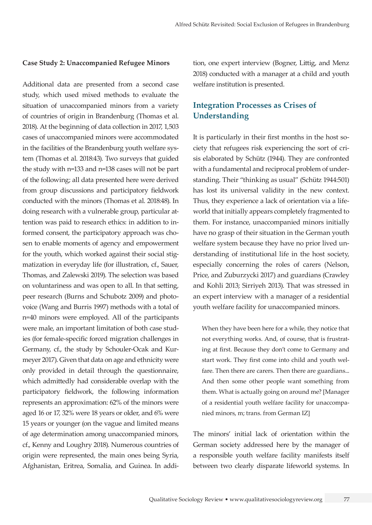#### **Case Study 2: Unaccompanied Refugee Minors**

Additional data are presented from a second case study, which used mixed methods to evaluate the situation of unaccompanied minors from a variety of countries of origin in Brandenburg (Thomas et al. 2018). At the beginning of data collection in 2017, 1,503 cases of unaccompanied minors were accommodated in the facilities of the Brandenburg youth welfare system (Thomas et al. 2018:43). Two surveys that guided the study with n=133 and n=138 cases will not be part of the following; all data presented here were derived from group discussions and participatory fieldwork conducted with the minors (Thomas et al. 2018:48). In doing research with a vulnerable group, particular attention was paid to research ethics: in addition to informed consent, the participatory approach was chosen to enable moments of agency and empowerment for the youth, which worked against their social stigmatization in everyday life (for illustration, cf., Sauer, Thomas, and Zalewski 2019). The selection was based on voluntariness and was open to all. In that setting, peer research (Burns and Schubotz 2009) and photovoice (Wang and Burris 1997) methods with a total of n=40 minors were employed. All of the participants were male, an important limitation of both case studies (for female-specific forced migration challenges in Germany, cf., the study by Schouler-Ocak and Kurmeyer 2017). Given that data on age and ethnicity were only provided in detail through the questionnaire, which admittedly had considerable overlap with the participatory fieldwork, the following information represents an approximation: 62% of the minors were aged 16 or 17, 32% were 18 years or older, and 6% were 15 years or younger (on the vague and limited means of age determination among unaccompanied minors, cf., Kenny and Loughry 2018). Numerous countries of origin were represented, the main ones being Syria, Afghanistan, Eritrea, Somalia, and Guinea. In addi-

tion, one expert interview (Bogner, Littig, and Menz 2018) conducted with a manager at a child and youth welfare institution is presented.

## **Integration Processes as Crises of Understanding**

It is particularly in their first months in the host society that refugees risk experiencing the sort of crisis elaborated by Schütz (1944). They are confronted with a fundamental and reciprocal problem of understanding. Their "thinking as usual" (Schütz 1944:501) has lost its universal validity in the new context. Thus, they experience a lack of orientation via a lifeworld that initially appears completely fragmented to them. For instance, unaccompanied minors initially have no grasp of their situation in the German youth welfare system because they have no prior lived understanding of institutional life in the host society, especially concerning the roles of carers (Nelson, Price, and Zuburzycki 2017) and guardians (Crawley and Kohli 2013; Sirriyeh 2013). That was stressed in an expert interview with a manager of a residential youth welfare facility for unaccompanied minors.

When they have been here for a while, they notice that not everything works. And, of course, that is frustrating at first. Because they don't come to Germany and start work. They first come into child and youth welfare. Then there are carers. Then there are guardians... And then some other people want something from them. What is actually going on around me? [Manager of a residential youth welfare facility for unaccompanied minors, m; trans. from German IZ]

The minors' initial lack of orientation within the German society addressed here by the manager of a responsible youth welfare facility manifests itself between two clearly disparate lifeworld systems. In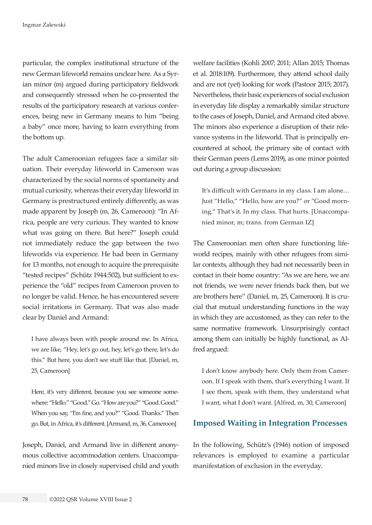particular, the complex institutional structure of the new German lifeworld remains unclear here. As a Syrian minor (m) argued during participatory fieldwork and consequently stressed when he co-presented the results of the participatory research at various conferences, being new in Germany means to him "being a baby" once more, having to learn everything from the bottom up.

The adult Cameroonian refugees face a similar situation. Their everyday lifeworld in Cameroon was characterized by the social norms of spontaneity and mutual curiosity, whereas their everyday lifeworld in Germany is prestructured entirely differently, as was made apparent by Joseph (m, 26, Cameroon): "In Africa, people are very curious. They wanted to know what was going on there. But here?" Joseph could not immediately reduce the gap between the two lifeworlds via experience. He had been in Germany for 13 months, not enough to acquire the prerequisite "tested recipes" (Schütz 1944:502), but sufficient to experience the "old" recipes from Cameroon proven to no longer be valid. Hence, he has encountered severe social irritations in Germany. That was also made clear by Daniel and Armand:

I have always been with people around me. In Africa, we are like, "Hey, let's go out, hey, let's go there, let's do this." But here, you don't see stuff like that. [Daniel, m, 25, Cameroon]

Here, it's very different, because you see someone somewhere: "Hello." "Good." Go. "How are you?" "Good. Good." When you say, "I'm fine, and you?" "Good. Thanks." Then go. But, in Africa, it's different. [Armand, m, 36, Cameroon]

Joseph, Daniel, and Armand live in different anonymous collective accommodation centers. Unaccompanied minors live in closely supervised child and youth welfare facilities (Kohli 2007; 2011; Allan 2015; Thomas et al. 2018:109). Furthermore, they attend school daily and are not (yet) looking for work (Pastoor 2015; 2017). Nevertheless, their basic experiences of social exclusion in everyday life display a remarkably similar structure to the cases of Joseph, Daniel, and Armand cited above. The minors also experience a disruption of their relevance systems in the lifeworld. That is principally encountered at school, the primary site of contact with their German peers (Lems 2019), as one minor pointed out during a group discussion:

It's difficult with Germans in my class. I am alone… Just "Hello," "Hello, how are you?" or "Good morning." That's it. In my class. That hurts. [Unaccompanied minor, m; trans. from German IZ]

The Cameroonian men often share functioning lifeworld recipes, mainly with other refugees from similar contexts, although they had not necessarily been in contact in their home country: "As we are here, we are not friends, we were never friends back then, but we are brothers here" (Daniel, m, 25, Cameroon). It is crucial that mutual understanding functions in the way in which they are accustomed, as they can refer to the same normative framework. Unsurprisingly contact among them can initially be highly functional, as Alfred argued:

I don't know anybody here. Only them from Cameroon. If I speak with them, that's everything I want. If I see them, speak with them, they understand what I want, what I don't want. [Alfred, m, 30, Cameroon]

### **Imposed Waiting in Integration Processes**

In the following, Schütz's (1946) notion of imposed relevances is employed to examine a particular manifestation of exclusion in the everyday.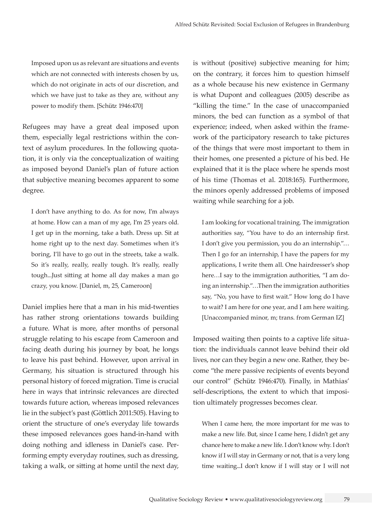Imposed upon us as relevant are situations and events which are not connected with interests chosen by us, which do not originate in acts of our discretion, and which we have just to take as they are, without any power to modify them. [Schütz 1946:470]

Refugees may have a great deal imposed upon them, especially legal restrictions within the context of asylum procedures. In the following quotation, it is only via the conceptualization of waiting as imposed beyond Daniel's plan of future action that subjective meaning becomes apparent to some degree.

I don't have anything to do. As for now, I'm always at home. How can a man of my age, I'm 25 years old. I get up in the morning, take a bath. Dress up. Sit at home right up to the next day. Sometimes when it's boring, I'll have to go out in the streets, take a walk. So it's really, really, really tough. It's really, really tough...Just sitting at home all day makes a man go crazy, you know. [Daniel, m, 25, Cameroon]

Daniel implies here that a man in his mid-twenties has rather strong orientations towards building a future. What is more, after months of personal struggle relating to his escape from Cameroon and facing death during his journey by boat, he longs to leave his past behind. However, upon arrival in Germany, his situation is structured through his personal history of forced migration. Time is crucial here in ways that intrinsic relevances are directed towards future action, whereas imposed relevances lie in the subject's past (Göttlich 2011:505). Having to orient the structure of one's everyday life towards these imposed relevances goes hand-in-hand with doing nothing and idleness in Daniel's case. Performing empty everyday routines, such as dressing, taking a walk, or sitting at home until the next day,

is without (positive) subjective meaning for him; on the contrary, it forces him to question himself as a whole because his new existence in Germany is what Dupont and colleagues (2005) describe as "killing the time." In the case of unaccompanied minors, the bed can function as a symbol of that experience; indeed, when asked within the framework of the participatory research to take pictures of the things that were most important to them in their homes, one presented a picture of his bed. He explained that it is the place where he spends most of his time (Thomas et al. 2018:165). Furthermore, the minors openly addressed problems of imposed waiting while searching for a job.

I am looking for vocational training. The immigration authorities say, "You have to do an internship first. I don't give you permission, you do an internship."… Then I go for an internship, I have the papers for my applications, I write them all. One hairdresser's shop here…I say to the immigration authorities, "I am doing an internship."…Then the immigration authorities say, "No, you have to first wait." How long do I have to wait? I am here for one year, and I am here waiting. [Unaccompanied minor, m; trans. from German IZ]

Imposed waiting then points to a captive life situation: the individuals cannot leave behind their old lives, nor can they begin a new one. Rather, they become "the mere passive recipients of events beyond our control" (Schütz 1946:470). Finally, in Mathias' self-descriptions, the extent to which that imposition ultimately progresses becomes clear.

When I came here, the more important for me was to make a new life. But, since I came here, I didn't get any chance here to make a new life. I don't know why. I don't know if I will stay in Germany or not, that is a very long time waiting...I don't know if I will stay or I will not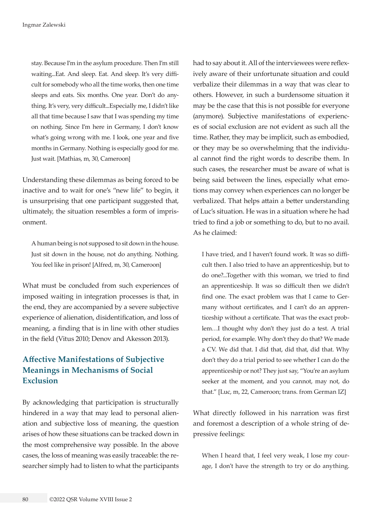stay. Because I'm in the asylum procedure. Then I'm still waiting...Eat. And sleep. Eat. And sleep. It's very difficult for somebody who all the time works, then one time sleeps and eats. Six months. One year. Don't do anything. It's very, very difficult...Especially me, I didn't like all that time because I saw that I was spending my time on nothing. Since I'm here in Germany, I don't know what's going wrong with me. I look, one year and five months in Germany. Nothing is especially good for me. Just wait. [Mathias, m, 30, Cameroon]

Understanding these dilemmas as being forced to be inactive and to wait for one's "new life" to begin, it is unsurprising that one participant suggested that, ultimately, the situation resembles a form of imprisonment.

A human being is not supposed to sit down in the house. Just sit down in the house, not do anything. Nothing. You feel like in prison! [Alfred, m, 30, Cameroon]

What must be concluded from such experiences of imposed waiting in integration processes is that, in the end, they are accompanied by a severe subjective experience of alienation, disidentification, and loss of meaning, a finding that is in line with other studies in the field (Vitus 2010; Denov and Akesson 2013).

# **Affective Manifestations of Subjective Meanings in Mechanisms of Social Exclusion**

By acknowledging that participation is structurally hindered in a way that may lead to personal alienation and subjective loss of meaning, the question arises of how these situations can be tracked down in the most comprehensive way possible. In the above cases, the loss of meaning was easily traceable: the researcher simply had to listen to what the participants had to say about it. All of the interviewees were reflexively aware of their unfortunate situation and could verbalize their dilemmas in a way that was clear to others. However, in such a burdensome situation it may be the case that this is not possible for everyone (anymore). Subjective manifestations of experiences of social exclusion are not evident as such all the time. Rather, they may be implicit, such as embodied, or they may be so overwhelming that the individual cannot find the right words to describe them. In such cases, the researcher must be aware of what is being said between the lines, especially what emotions may convey when experiences can no longer be verbalized. That helps attain a better understanding of Luc's situation. He was in a situation where he had tried to find a job or something to do, but to no avail. As he claimed:

I have tried, and I haven't found work. It was so difficult then. I also tried to have an apprenticeship, but to do one?...Together with this woman, we tried to find an apprenticeship. It was so difficult then we didn't find one. The exact problem was that I came to Germany without certificates, and I can't do an apprenticeship without a certificate. That was the exact problem…I thought why don't they just do a test. A trial period, for example. Why don't they do that? We made a CV. We did that. I did that, did that, did that. Why don't they do a trial period to see whether I can do the apprenticeship or not? They just say, "You're an asylum seeker at the moment, and you cannot, may not, do that." [Luc, m, 22, Cameroon; trans. from German IZ]

What directly followed in his narration was first and foremost a description of a whole string of depressive feelings:

When I heard that, I feel very weak, I lose my courage, I don't have the strength to try or do anything.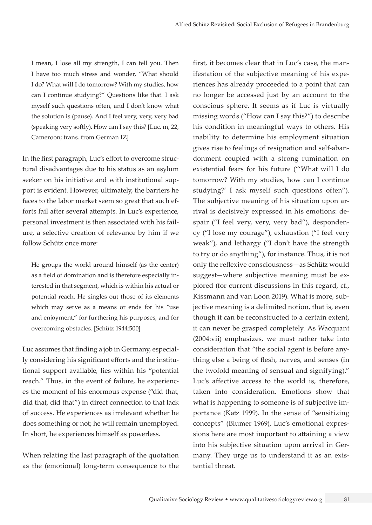I mean, I lose all my strength, I can tell you. Then I have too much stress and wonder, "What should I do? What will I do tomorrow? With my studies, how can I continue studying?" Questions like that. I ask myself such questions often, and I don't know what the solution is (pause). And I feel very, very, very bad (speaking very softly). How can I say this? [Luc, m, 22, Cameroon; trans. from German IZ]

In the first paragraph, Luc's effort to overcome structural disadvantages due to his status as an asylum seeker on his initiative and with institutional support is evident. However, ultimately, the barriers he faces to the labor market seem so great that such efforts fail after several attempts. In Luc's experience, personal investment is then associated with his failure, a selective creation of relevance by him if we follow Schütz once more:

He groups the world around himself (as the center) as a field of domination and is therefore especially interested in that segment, which is within his actual or potential reach. He singles out those of its elements which may serve as a means or ends for his "use and enjoyment," for furthering his purposes, and for overcoming obstacles. [Schütz 1944:500]

Luc assumes that finding a job in Germany, especially considering his significant efforts and the institutional support available, lies within his "potential reach." Thus, in the event of failure, he experiences the moment of his enormous expense ("did that, did that, did that") in direct connection to that lack of success. He experiences as irrelevant whether he does something or not; he will remain unemployed. In short, he experiences himself as powerless.

When relating the last paragraph of the quotation as the (emotional) long-term consequence to the

first, it becomes clear that in Luc's case, the manifestation of the subjective meaning of his experiences has already proceeded to a point that can no longer be accessed just by an account to the conscious sphere. It seems as if Luc is virtually missing words ("How can I say this?") to describe his condition in meaningful ways to others. His inability to determine his employment situation gives rise to feelings of resignation and self-abandonment coupled with a strong rumination on existential fears for his future ("'What will I do tomorrow? With my studies, how can I continue studying?' I ask myself such questions often"). The subjective meaning of his situation upon arrival is decisively expressed in his emotions: despair ("I feel very, very, very bad"), despondency ("I lose my courage"), exhaustion ("I feel very weak"), and lethargy ("I don't have the strength to try or do anything"), for instance. Thus, it is not only the reflexive consciousness—as Schütz would suggest—where subjective meaning must be explored (for current discussions in this regard, cf., Kissmann and van Loon 2019). What is more, subjective meaning is a delimited notion, that is, even though it can be reconstructed to a certain extent, it can never be grasped completely. As Wacquant (2004:vii) emphasizes, we must rather take into consideration that "the social agent is before anything else a being of flesh, nerves, and senses (in the twofold meaning of sensual and signifying)." Luc's affective access to the world is, therefore, taken into consideration. Emotions show that what is happening to someone is of subjective importance (Katz 1999). In the sense of "sensitizing concepts" (Blumer 1969), Luc's emotional expressions here are most important to attaining a view into his subjective situation upon arrival in Germany. They urge us to understand it as an existential threat.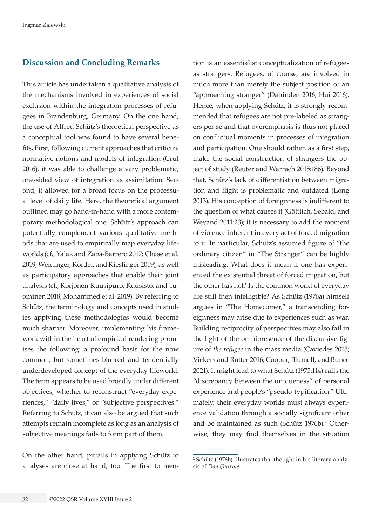## **Discussion and Concluding Remarks**

This article has undertaken a qualitative analysis of the mechanisms involved in experiences of social exclusion within the integration processes of refugees in Brandenburg, Germany. On the one hand, the use of Alfred Schütz's theoretical perspective as a conceptual tool was found to have several benefits. First, following current approaches that criticize normative notions and models of integration (Crul 2016), it was able to challenge a very problematic, one-sided view of integration as assimilation. Second, it allowed for a broad focus on the processual level of daily life. Here, the theoretical argument outlined may go hand-in-hand with a more contemporary methodological one. Schütz's approach can potentially complement various qualitative methods that are used to empirically map everyday lifeworlds (cf., Yalaz and Zapa-Barrero 2017; Chase et al. 2019; Weidinger, Kordel, and Kieslinger 2019), as well as participatory approaches that enable their joint analysis (cf., Korjonen-Kuusipuro, Kuusisto, and Tuominen 2018; Mohammed et al. 2019). By referring to Schütz, the terminology and concepts used in studies applying these methodologies would become much sharper. Moreover, implementing his framework within the heart of empirical rendering promises the following: a profound basis for the now common, but sometimes blurred and tendentially underdeveloped concept of the everyday lifeworld. The term appears to be used broadly under different objectives, whether to reconstruct "everyday experiences," "daily lives," or "subjective perspectives." Referring to Schütz, it can also be argued that such attempts remain incomplete as long as an analysis of subjective meanings fails to form part of them.

On the other hand, pitfalls in applying Schütz to analyses are close at hand, too. The first to men-

tion is an essentialist conceptualization of refugees as strangers. Refugees, of course, are involved in much more than merely the subject position of an "approaching stranger" (Dahinden 2016; Hui 2016). Hence, when applying Schütz, it is strongly recommended that refugees are not pre-labeled as strangers per se and that overemphasis is thus not placed on conflictual moments in processes of integration and participation. One should rather, as a first step, make the social construction of strangers the object of study (Reuter and Warrach 2015:186). Beyond that, Schütz's lack of differentiation between migration and flight is problematic and outdated (Long 2013). His conception of foreignness is indifferent to the question of what causes it (Göttlich, Sebald, and Weyand 2011:23); it is necessary to add the moment of violence inherent in every act of forced migration to it. In particular, Schütz's assumed figure of "the ordinary citizen" in "The Stranger" can be highly misleading. What does it mean if one has experienced the existential threat of forced migration, but the other has not? Is the common world of everyday life still then intelligible? As Schütz (1976a) himself argues in "The Homecomer," a transcending foreignness may arise due to experiences such as war. Building reciprocity of perspectives may also fail in the light of the omnipresence of the discursive figure of *the refugee* in the mass media (Caviedes 2015; Vickers and Rutter 2016; Cooper, Blumell, and Bunce 2021). It might lead to what Schütz (1975:114) calls the "discrepancy between the uniqueness" of personal experience and people's "pseudo-typification." Ultimately, their everyday worlds must always experience validation through a socially significant other and be maintained as such (Schütz 1976b).<sup>2</sup> Otherwise, they may find themselves in the situation

<sup>2</sup> Schütz (1976b) illustrates that thought in his literary analysis of *Don Quixote*.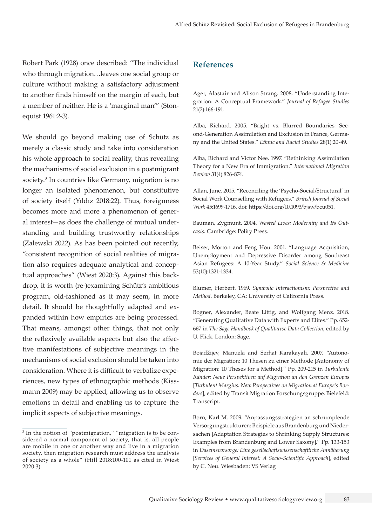Robert Park (1928) once described: "The individual who through migration…leaves one social group or culture without making a satisfactory adjustment to another finds himself on the margin of each, but a member of neither. He is a 'marginal man'" (Stonequist 1961:2-3).

We should go beyond making use of Schütz as merely a classic study and take into consideration his whole approach to social reality, thus revealing the mechanisms of social exclusion in a postmigrant society.<sup>3</sup> In countries like Germany, migration is no longer an isolated phenomenon, but constitutive of society itself (Yıldız 2018:22). Thus, foreignness becomes more and more a phenomenon of general interest—as does the challenge of mutual understanding and building trustworthy relationships (Zalewski 2022). As has been pointed out recently, "consistent recognition of social realities of migration also requires adequate analytical and conceptual approaches" (Wiest 2020:3). Against this backdrop, it is worth (re-)examining Schütz's ambitious program, old-fashioned as it may seem, in more detail. It should be thoughtfully adapted and expanded within how empirics are being processed. That means, amongst other things, that not only the reflexively available aspects but also the affective manifestations of subjective meanings in the mechanisms of social exclusion should be taken into consideration. Where it is difficult to verbalize experiences, new types of ethnographic methods (Kissmann 2009) may be applied, allowing us to observe emotions in detail and enabling us to capture the implicit aspects of subjective meanings.

## **References**

Ager, Alastair and Alison Strang. 2008. "Understanding Integration: A Conceptual Framework." *Journal of Refugee Studies* 21(2):166-191.

Alba, Richard. 2005. "Bright vs. Blurred Boundaries: Second-Generation Assimilation and Exclusion in France, Germany and the United States." *Ethnic and Racial Studies* 28(1):20-49.

Alba, Richard and Victor Nee. 1997. "Rethinking Assimilation Theory for a New Era of Immigration." *International Migration Review* 31(4):826-874.

Allan, June. 2015. "Reconciling the 'Psycho-Social/Structural' in Social Work Counselling with Refugees." *British Journal of Social Work* 45:1699-1716. doi: [https://doi.org/10.1093/bjsw/bcu051.](https://doi.org/10.1093/bjsw/bcu051)

Bauman, Zygmunt. 2004. *Wasted Lives: Modernity and Its Outcasts*. Cambridge: Polity Press.

Beiser, Morton and Feng Hou. 2001. "Language Acquisition, Unemployment and Depressive Disorder among Southeast Asian Refugees: A 10-Year Study." *Social Science & Medicine* 53(10):1321-1334.

Blumer, Herbert. 1969. *Symbolic Interactionism: Perspective and Method*. Berkeley, CA: University of California Press.

Bogner, Alexander, Beate Littig, and Wolfgang Menz. 2018. "Generating Qualitative Data with Experts and Elites." Pp. 652- 667 in *The Sage Handbook of Qualitative Data Collection*, edited by U. Flick. London: Sage.

Bojadžijev, Manuela and Serhat Karakayali. 2007. "Autonomie der Migration: 10 Thesen zu einer Methode [Autonomy of Migration: 10 Theses for a Method]." Pp. 209-215 in *Turbulente Ränder: Neue Perspektiven auf Migration an den Grenzen Europas*  [*Turbulent Margins: New Perspectives on Migration at Europe's Borders*], edited by Transit Migration Forschungsgruppe. Bielefeld: Transcript.

Born, Karl M. 2009. "Anpassungsstrategien an schrumpfende Versorgungstrukturen: Beispiele aus Brandenburg und Niedersachen [Adaptation Strategies to Shrinking Supply Structures: Examples from Brandenburg and Lower Saxony]." Pp. 133-153 in *Daseinsvorsorge: Eine gesellschaftswissenschaftliche Annäherung*  [*Services of General Interest: A Socio-Scientific Approach*], edited by C. Neu. Wiesbaden: VS Verlag

<sup>&</sup>lt;sup>3</sup> In the notion of "postmigration," "migration is to be considered a normal component of society, that is, all people are mobile in one or another way and live in a migration society, then migration research must address the analysis of society as a whole" (Hill 2018:100-101 as cited in Wiest 2020:3).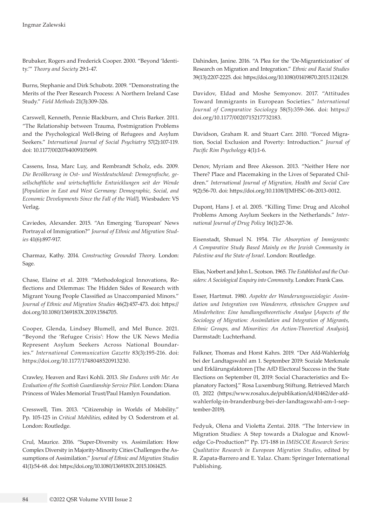Brubaker, Rogers and Frederick Cooper. 2000. "Beyond 'Identity.'" *Theory and Society* 29:1-47.

Burns, Stephanie and Dirk Schubotz. 2009. "Demonstrating the Merits of the Peer Research Process: A Northern Ireland Case Study." *Field Methods* 21(3):309-326.

Carswell, Kenneth, Pennie Blackburn, and Chris Barker. 2011. "The Relationship between Trauma, Postmigration Problems and the Psychological Well-Being of Refugees and Asylum Seekers." *International Journal of Social Psychiatry* 57(2):107-119. doi: [10.1177/0020764009105699.](https://doi.org/10.1177/0020764009105699)

Cassens, Insa, Marc Luy, and Rembrandt Scholz, eds. 2009. *Die Bevölkerung in Ost- und Westdeutschland: Demografische, gesellschaftliche und wirtschaftliche Entwicklungen seit der Wende*  [*Population in East and West Germany: Demographic, Social, and Economic Developments Since the Fall of the Wall*]. Wiesbaden: VS Verlag.

Caviedes, Alexander. 2015. "An Emerging 'European' News Portrayal of Immigration?" *Journal of Ethnic and Migration Studies* 41(6):897-917.

Charmaz, Kathy. 2014. *Constructing Grounded Theory*. London: Sage.

Chase, Elaine et al. 2019. "Methodological Innovations, Reflections and Dilemmas: The Hidden Sides of Research with Migrant Young People Classified as Unaccompanied Minors." *Journal of Ethnic and Migration Studies* 46(2):457-473. doi: [https://](https://doi.org/10.1080/1369183X.2019.1584705) [doi.org/10.1080/1369183X.2019.1584705](https://doi.org/10.1080/1369183X.2019.1584705).

Cooper, Glenda, Lindsey Blumell, and Mel Bunce. 2021. "Beyond the 'Refugee Crisis': How the UK News Media Represent Asylum Seekers Across National Boundaries." *International Communication Gazette* 83(3):195-216. doi: [https://doi.org/10.1177/1748048520913230.](https://doi.org/10.1177/1748048520913230)

Crawley, Heaven and Ravi Kohli. 2013. *She Endures with Me: An Evaluation of the Scottish Guardianship Service Pilot*. London: Diana Princess of Wales Memorial Trust/Paul Hamlyn Foundation.

Cresswell, Tim. 2013. "Citizenship in Worlds of Mobility." Pp. 105-125 in *Critical Mobilities*, edited by O. Soderstrom et al. London: Routledge.

Crul, Maurice. 2016. "Super-Diversity vs. Assimilation: How Complex Diversity in Majority-Minority Cities Challenges the Assumptions of Assimilation." *Journal of Ethnic and Migration Studies* 41(1):54-68. doi: [https://doi.org/10.1080/1369183X.2015.1061425.](https://doi.org/10.1080/1369183X.2015.1061425)

Dahinden, Janine. 2016. "A Plea for the 'De-Migranticization' of Research on Migration and Integration." *Ethnic and Racial Studies*  39(13):2207-2225. doi: [https://doi.org/10.1080/01419870.2015.1124129.](https://doi.org/10.1080/01419870.2015.1124129)

Davidov, Eldad and Moshe Semyonov. 2017. "Attitudes Toward Immigrants in European Societies." *International Journal of Comparative Sociology* 58(5):359-366. doi: [https://](https://doi.org/10.1177/0020715217732183) [doi.org/10.1177/0020715217732183.](https://doi.org/10.1177/0020715217732183)

Davidson, Graham R. and Stuart Carr. 2010. "Forced Migration, Social Exclusion and Poverty: Introduction." *Journal of Pacific Rim Psychology* 4(1):1-6.

Denov, Myriam and Bree Akesson. 2013. "Neither Here nor There? Place and Placemaking in the Lives of Separated Children." *International Journal of Migration, Health and Social Care* 9(2):56-70. doi: [https://doi.org/10.1108/IJMHSC-06-2013-0012.](https://doi.org/10.1108/IJMHSC-06-2013-0012)

Dupont, Hans J. et al. 2005. "Killing Time: Drug and Alcohol Problems Among Asylum Seekers in the Netherlands." *International Journal of Drug Policy* 16(1):27-36.

Eisenstadt, Shmuel N. 1954. *The Absorption of Immigrants: A Comparative Study Based Mainly on the Jewish Community in Palestine and the State of Israel*. London: Routledge.

Elias, Norbert and John L. Scotson. 1965. *The Established and the Outsiders: A Sociological Enquiry into Community*. London: Frank Cass.

Esser, Hartmut. 1980. *Aspekte der Wanderungssoziologie: Assimilation und Integration von Wanderern, ethnischen Gruppen und Minderheiten: Eine handlungstheoretische Analyse* [*Aspects of the Sociology of Migration: Assimilation and Integration of Migrants, Ethnic Groups, and Minorities: An Action-Theoretical Analysis*]. Darmstadt: Luchterhand.

Falkner, Thomas and Horst Kahrs. 2019. "Der Afd-Wahlerfolg bei der Landtagswahl am 1. September 2019: Soziale Merkmale und Erklärungsfaktoren [The AfD Electoral Success in the State Elections on September 01, 2019: Social Characteristics and Explanatory Factors]." Rosa Luxemburg Stiftung. Retrieved March 03, 2022 ([https://www.rosalux.de/publikation/id/41462/der-afd](https://www.rosalux.de/publikation/id/41462/der-afd-wahlerfolg-in-brandenburg-bei-der-landtagswahl-am-1-september-2019)[wahlerfolg-in-brandenburg-bei-der-landtagswahl-am-1-sep](https://www.rosalux.de/publikation/id/41462/der-afd-wahlerfolg-in-brandenburg-bei-der-landtagswahl-am-1-september-2019)[tember-2019\)](https://www.rosalux.de/publikation/id/41462/der-afd-wahlerfolg-in-brandenburg-bei-der-landtagswahl-am-1-september-2019).

Fedyuk, Olena and Violetta Zentai. 2018. "The Interview in Migration Studies: A Step towards a Dialogue and Knowledge Co-Production?" Pp. 171-188 in *IMISCOE Research Series: Qualitative Research in European Migration Studies*, edited by R. Zapata-Barrero and E. Yalaz. Cham: Springer International Publishing.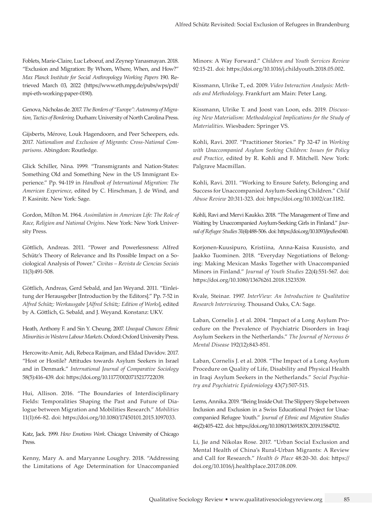Foblets, Marie-Claire, Luc Leboeuf, and Zeynep Yanasmayan. 2018. "Exclusion and Migration: By Whom, Where, When, and How?" *Max Planck Institute for Social Anthropology Working Papers* 190. Retrieved March 03, 2022 [\(https://www.eth.mpg.de/pubs/wps/pdf/](https://www.eth.mpg.de/pubs/wps/pdf/mpi-eth-working-paper-0190) [mpi-eth-working-paper-0190](https://www.eth.mpg.de/pubs/wps/pdf/mpi-eth-working-paper-0190)).

Genova, Nicholas de. 2017. *The Borders of "Europe": Autonomy of Migration, Tactics of Bordering*. Durham: University of North Carolina Press.

Gijsberts, Mérove, Louk Hagendoorn, and Peer Scheepers, eds. 2017. *Nationalism and Exclusion of Migrants: Cross-National Comparisons*. Abingdon: Routledge.

Glick Schiller, Nina. 1999. "Transmigrants and Nation-States: Something Old and Something New in the US Immigrant Experience." Pp. 94-119 in *Handbook of International Migration: The American Experience*, edited by C. Hirschman, J. de Wind, and P. Kasinitz. New York: Sage.

Gordon, Milton M. 1964. *Assimilation in American Life: The Role of Race, Religion and National Origins*. New York: New York University Press.

Göttlich, Andreas. 2011. "Power and Powerlessness: Alfred Schütz's Theory of Relevance and Its Possible Impact on a Sociological Analysis of Power." *Civitas – Revista de Ciencias Sociais* 11(3):491-508.

Göttlich, Andreas, Gerd Sebald, and Jan Weyand. 2011. "Einleitung der Herausgeber [Introduction by the Editors]." Pp. 7-52 in *Alfred Schütz: Werkausgabe* [*Alfred Schütz: Edition of Works*], edited by A. Göttlich, G. Sebald, and J. Weyand. Konstanz: UKV.

Heath, Anthony F. and Sin Y. Cheung. 2007. *Unequal Chances: Ethnic Minorities in Western Labour Markets*. Oxford: Oxford University Press.

Hercowitz-Amir, Adi, Rebeca Raijman, and Eldad Davidov. 2017. "Host or Hostile? Attitudes towards Asylum Seekers in Israel and in Denmark." *International Journal of Comparative Sociology* 58(5):416-439. doi:<https://doi.org/10.1177/0020715217722039>.

Hui, Allison. 2016. "The Boundaries of Interdisciplinary Fields: Temporalities Shaping the Past and Future of Dialogue between Migration and Mobilities Research." *Mobilities* 11(1):66-82. doi: [https://doi.org/10.1080/17450101.2015.1097033.](https://doi.org/10.1080/17450101.2015.1097033)

Katz, Jack. 1999. *How Emotions Work*. Chicago: University of Chicago Press.

Kenny, Mary A. and Maryanne Loughry. 2018. "Addressing the Limitations of Age Determination for Unaccompanied Minors: A Way Forward." *Children and Youth Services Review* 92:15-21. doi: [https://doi.org/10.1016/j.childyouth.2018.05.002.](https://doi.org/10.1016/j.childyouth.2018.05.002)

Kissmann, Ulrike T., ed*.* 2009. *Video Interaction Analysis: Methods and Methodology*. Frankfurt am Main: Peter Lang.

Kissmann, Ulrike T. and Joost van Loon, eds. 2019. *Discussing New Materialism: Methodological Implications for the Study of Materialities*. Wiesbaden: Springer VS.

Kohli, Ravi. 2007. "Practitioner Stories." Pp 32-47 in *Working with Unaccompanied Asylum Seeking Children: Issues for Policy and Practice*, edited by R. Kohli and F. Mitchell. New York: Palgrave Macmillan.

Kohli, Ravi. 2011. "Working to Ensure Safety, Belonging and Success for Unaccompanied Asylum-Seeking Children." *Child Abuse Review* 20:311-323. doi:<https://doi.org/10.1002/car.1182>.

Kohli, Ravi and Mervi Kaukko. 2018. "The Management of Time and Waiting by Unaccompanied Asylum-Seeking Girls in Finland." *Journal of Refugee Studies* 31(4):488-506. doi:<https://doi.org/10.1093/jrs/fex040>.

Korjonen-Kuusipuro, Kristiina, Anna-Kaisa Kuusisto, and Jaakko Tuominen. 2018. "Everyday Negotiations of Belonging: Making Mexican Masks Together with Unaccompanied Minors in Finland." *Journal of Youth Studies* 22(4):551-567. doi: [https://doi.org/10.1080/13676261.2018.1523539.](https://doi.org/10.1080/13676261.2018.1523539)

Kvale, Steinar. 1997. *InterView: An Introduction to Qualitative Research Interviewing*. Thousand Oaks, CA: Sage.

Laban, Cornelis J. et al. 2004. "Impact of a Long Asylum Procedure on the Prevalence of Psychiatric Disorders in Iraqi Asylum Seekers in the Netherlands." *The Journal of Nervous & Mental Disease* 192(12):843-851.

Laban, Cornelis J. et al. 2008. "The Impact of a Long Asylum Procedure on Quality of Life, Disability and Physical Health in Iraqi Asylum Seekers in the Netherlands." *Social Psychiatry and Psychiatric Epidemiology* 43(7):507-515.

Lems, Annika. 2019. "Being Inside Out: The Slippery Slope between Inclusion and Exclusion in a Swiss Educational Project for Unaccompanied Refugee Youth." *Journal of Ethnic and Migration Studies* 46(2):405-422. doi:<https://doi.org/10.1080/1369183X.2019.1584702>.

Li, Jie and Nikolas Rose. 2017. "Urban Social Exclusion and Mental Health of China's Rural-Urban Migrants: A Review and Call for Research." *Health & Place* 48:20-30. doi: [https://](https://doi.org/10.1016/j.healthplace.2017.08.009) [doi.org/10.1016/j.healthplace.2017.08.009](https://doi.org/10.1016/j.healthplace.2017.08.009).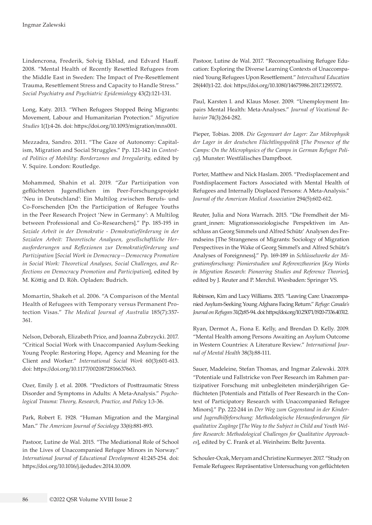Lindencrona, Frederik, Solvig Ekblad, and Edvard Hauff. 2008. "Mental Health of Recently Resettled Refugees from the Middle East in Sweden: The Impact of Pre-Resettlement Trauma, Resettlement Stress and Capacity to Handle Stress." *Social Psychiatry and Psychiatric Epidemiology* 43(2):121-131.

Long, Katy. 2013. "When Refugees Stopped Being Migrants: Movement, Labour and Humanitarian Protection." *Migration Studies* 1(1):4-26. doi: [https://doi.org/10.1093/migration/mns001.](https://doi.org/10.1093/migration/mns001)

Mezzadra, Sandro. 2011. "The Gaze of Autonomy: Capitalism, Migration and Social Struggles." Pp. 121-142 in *Contested Politics of Mobility: Borderzones and Irregularity*, edited by V. Squire. London: Routledge.

Mohammed, Shahin et al. 2019. "Zur Partizipation von geflüchteten Jugendlichen im Peer-Forschungsprojekt 'Neu in Deutschland': Ein Multilog zwischen Berufs- und Co-Forschenden [On the Participation of Refugee Youths in the Peer Research Project 'New in Germany': A Multilog between Professional and Co-Researchers]." Pp. 185-195 in *Soziale Arbeit in der Demokratie - Demokratieförderung in der Sozialen Arbeit: Theoretische Analysen, gesellschaftliche Herausforderungen und Reflexionen zur Demokratieförderung und Partizipation* [*Social Work in Democracy—Democracy Promotion in Social Work: Theoretical Analyses, Social Challenges, and Reflections on Democracy Promotion and Participation*], edited by M. Köttig and D. Röh. Opladen: Budrich.

Momartin, Shakeh et al. 2006. "A Comparison of the Mental Health of Refugees with Temporary versus Permanent Protection Visas." *The Medical Journal of Australia* 185(7):357- 361.

Nelson, Deborah, Elizabeth Price, and Joanna Zubrzycki. 2017. "Critical Social Work with Unaccompanied Asylum-Seeking Young People: Restoring Hope, Agency and Meaning for the Client and Worker." *International Social Work* 60(3):601-613. doi: [https://doi.org/10.1177/0020872816637663.](https://doi.org/10.1177/0020872816637663)

Ozer, Emily J. et al. 2008. "Predictors of Posttraumatic Stress Disorder and Symptoms in Adults: A Meta-Analysis." *Psychological Trauma: Theory, Research, Practice, and Policy* 1:3-36.

Park, Robert E. 1928. "Human Migration and the Marginal Man." *The American Journal of Sociology* 33(6):881-893.

Pastoor, Lutine de Wal. 2015. "The Mediational Role of School in the Lives of Unaccompanied Refugee Minors in Norway." *International Journal of Educational Development* 41:245-254. doi: <https://doi.org/10.1016/j.ijedudev.2014.10.009>.

Pastoor, Lutine de Wal. 2017. "Reconceptualising Refugee Education: Exploring the Diverse Learning Contexts of Unaccompanied Young Refugees Upon Resettlement." *Intercultural Education* 28(440):1-22. doi:<https://doi.org/10.1080/14675986.2017.1295572>.

Paul, Karsten I. and Klaus Moser. 2009. "Unemployment Impairs Mental Health: Meta-Analyses." *Journal of Vocational Behavior* 74(3):264-282.

Pieper, Tobias. 2008. *Die Gegenwart der Lager: Zur Mikrophysik der Lager in der deutschen Flüchtlingspolitik* [*The Presence of the Camps: On the Microphysics of the Camps in German Refugee Policy*]. Munster: Westfälisches Dampfboot.

Porter, Matthew and Nick Haslam. 2005. "Predisplacement and Postdisplacement Factors Associated with Mental Health of Refugees and Internally Displaced Persons: A Meta-Analysis." *Journal of the American Medical Association* 294(5):602-612.

Reuter, Julia and Nora Warrach. 2015. "Die Fremdheit der Migrant\_innen: Migrationssoziologische Perspektiven im Anschluss an Georg Simmels und Alfred Schütz' Analysen des Fremdseins [The Strangeness of Migrants: Sociology of Migration Perspectives in the Wake of Georg Simmel's and Alfred Schütz's Analyses of Foreignness]." Pp. 169-189 in *Schlüsselwerke der Migrationsforschung: Pionierstudien und Referenztheorien* [*Key Works in Migration Research: Pioneering Studies and Reference Theories*], edited by J. Reuter and P. Merchil. Wiesbaden: Springer VS.

Robinson, Kim and Lucy Williams. 2015. "Leaving Care: Unaccompanied Asylum-Seeking Young Afghans Facing Return." *Refuge: Canada's Journal on Refugees* 31(2):85-94. doi:<https://doi.org/10.25071/1920-7336.40312>.

Ryan, Dermot A., Fiona E. Kelly, and Brendan D. Kelly. 2009. "Mental Health among Persons Awaiting an Asylum Outcome in Western Countries: A Literature Review." *International Journal of Mental Health* 38(3):88-111.

Sauer, Madeleine, Stefan Thomas, and Ingmar Zalewski. 2019. "Potentiale und Fallstricke von Peer Research im Rahmen partizipativer Forschung mit unbegleiteten minderjährigen Geflüchteten [Potentials and Pitfalls of Peer Research in the Context of Participatory Research with Unaccompanied Refugee Minors]." Pp. 222-244 in *Der Weg zum Gegenstand in der Kinderund Jugendhilfeforschung: Methodologische Herausforderungen für qualitative Zugänge* [*The Way to the Subject in Child and Youth Welfare Research: Methodological Challenges for Qualitative Approaches*], edited by C. Frank et al. Weinheim: Beltz Juventa.

Schouler-Ocak, Meryam and Christine Kurmeyer. 2017. "Study on Female Refugees: Repräsentative Untersuchung von geflüchteten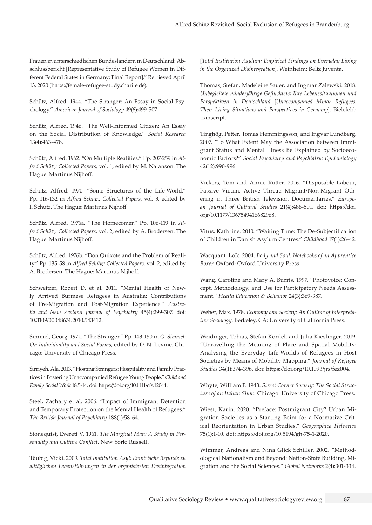Frauen in unterschiedlichen Bundesländern in Deutschland: Abschlussbericht [Representative Study of Refugee Women in Different Federal States in Germany: Final Report]." Retrieved April 13, 2020 [\(https://female-refugee-study.charite.de](https://female-refugee-study.charite.de)).

Schütz, Alfred. 1944. "The Stranger: An Essay in Social Psychology." *American Journal of Sociology* 49(6):499-507.

Schütz, Alfred. 1946. "The Well-Informed Citizen: An Essay on the Social Distribution of Knowledge." *Social Research* 13(4):463-478.

Schütz, Alfred. 1962. "On Multiple Realities." Pp. 207-259 in *Alfred Schütz: Collected Papers*, vol. 1, edited by M. Natanson. The Hague: Martinus Nijhoff.

Schütz, Alfred. 1970. "Some Structures of the Life-World." Pp. 116-132 in *Alfred Schütz: Collected Papers*, vol. 3, edited by I. Schütz. The Hague: Martinus Nijhoff.

Schütz, Alfred. 1976a. "The Homecomer." Pp. 106-119 in *Alfred Schütz: Collected Papers*, vol. 2, edited by A. Brodersen. The Hague: Martinus Nijhoff.

Schütz, Alfred. 1976b. "Don Quixote and the Problem of Reality." Pp. 135-58 in *Alfred Schütz: Collected Papers*, vol. 2, edited by A. Brodersen. The Hague: Martinus Nijhoff.

Schweitzer, Robert D. et al. 2011. "Mental Health of Newly Arrived Burmese Refugees in Australia: Contributions of Pre-Migration and Post-Migration Experience." *Australia and New Zealand Journal of Psychiatry* 45(4):299-307. doi: [10.3109/00048674.2010.543412](https://doi.org/10.3109/00048674.2010.543412).

Simmel, Georg. 1971. "The Stranger." Pp. 143-150 in *G. Simmel: On Individuality and Social Forms*, edited by D. N. Levine. Chicago: University of Chicago Press.

Sirriyeh, Ala. 2013. "Hosting Strangers: Hospitality and Family Practices in Fostering Unaccompanied Refugee Young People." *Child and Family Social Work* 18:5-14. doi:<https://doi.org/10.1111/cfs.12044>.

Steel, Zachary et al. 2006. "Impact of Immigrant Detention and Temporary Protection on the Mental Health of Refugees." *The British Journal of Psychiatry* 188(1):58-64.

Stonequist, Everett V. 1961. *The Marginal Man: A Study in Personality and Culture Conflict*. New York: Russell.

Täubig, Vicki. 2009. *Total Institution Asyl: Empirische Befunde zu alltäglichen Lebensführungen in der organisierten Desintegration*  [*Total Institution Asylum: Empirical Findings on Everyday Living in the Organized Disintegration*]. Weinheim: Beltz Juventa.

Thomas, Stefan, Madeleine Sauer, and Ingmar Zalewski. 2018. *Unbegleitete minderjährige Geflüchtete: Ihre Lebenssituationen und Perspektiven in Deutschland* [*Unaccompanied Minor Refugees: Their Living Situations and Perspectives in Germany*]. Bielefeld: transcript.

Tinghög, Petter, Tomas Hemmingsson, and Ingvar Lundberg. 2007. "To What Extent May the Association between Immigrant Status and Mental Illness Be Explained by Socioeconomic Factors?" *Social Psychiatry and Psychiatric Epidemiology* 42(12):990-996.

Vickers, Tom and Annie Rutter. 2016. "Disposable Labour, Passive Victim, Active Threat: Migrant/Non-Migrant Othering in Three British Television Documentaries." *European Journal of Cultural Studies* 21(4):486-501. doi: [https://doi.](https://doi.org/10.1177/1367549416682968) [org/10.1177/1367549416682968](https://doi.org/10.1177/1367549416682968).

Vitus, Kathrine. 2010. "Waiting Time: The De-Subjectification of Children in Danish Asylum Centres." *Childhood* 17(1):26-42.

Wacquant, Loïc. 2004. *Body and Soul: Notebooks of an Apprentice Boxer*. Oxford: Oxford University Press.

Wang, Caroline and Mary A. Burris. 1997. "Photovoice: Concept, Methodology, and Use for Participatory Needs Assessment." *Health Education & Behavior* 24(3):369-387.

Weber, Max. 1978. *Economy and Society: An Outline of Interpretative Sociology*. Berkeley, CA: University of California Press.

Weidinger, Tobias, Stefan Kordel, and Julia Kieslinger. 2019. "Unravelling the Meaning of Place and Spatial Mobility: Analysing the Everyday Life-Worlds of Refugees in Host Societies by Means of Mobility Mapping." *Journal of Refugee Studies* 34(1):374-396. doi: [https://doi.org/10.1093/jrs/fez004.](https://doi.org/10.1093/jrs/fez004)

Whyte, William F. 1943. *Street Corner Society: The Social Structure of an Italian Slum*. Chicago: University of Chicago Press.

Wiest, Karin. 2020. "Preface: Postmigrant City? Urban Migration Societies as a Starting Point for a Normative-Critical Reorientation in Urban Studies." *Geographica Helvetica* 75(1):1-10. doi: [https://doi.org/10.5194/gh-75-1-2020.](https://doi.org/10.5194/gh-75-1-2020)

Wimmer, Andreas and Nina Glick Schiller. 2002. "Methodological Nationalism and Beyond: Nation-State Building, Migration and the Social Sciences." *Global Networks* 2(4):301-334.